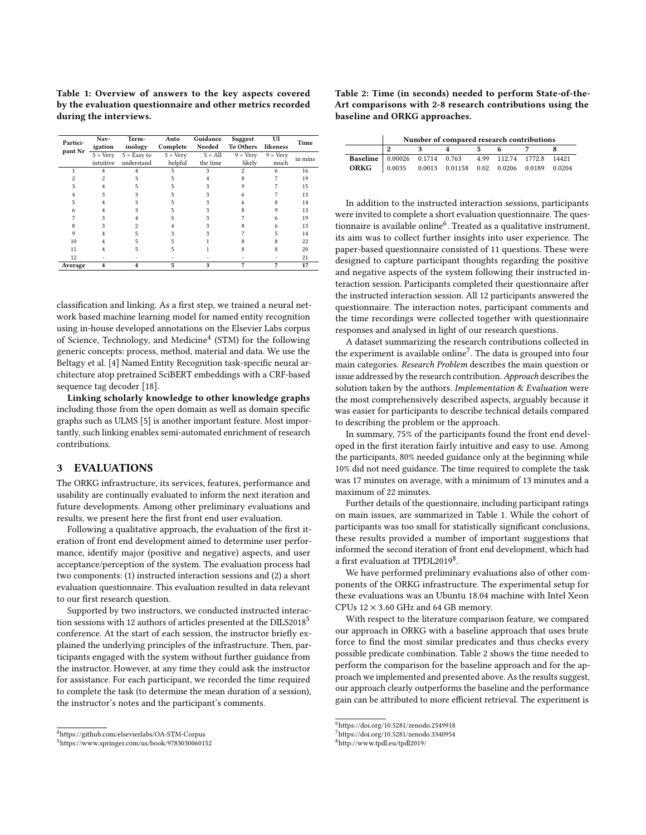<span id="page-2-4"></span>Table 1: Overview of answers to the key aspects covered by the evaluation questionnaire and other metrics recorded during the interviews.

| Partici-<br>pant Nr | Nav-              | Term-         | Auto              | Guidance  | Suggest           | UI                | Time    |  |
|---------------------|-------------------|---------------|-------------------|-----------|-------------------|-------------------|---------|--|
|                     | igation           | inology       | Complete          | Needed    | To Others         | likeness          |         |  |
|                     | $5 = \text{Verv}$ | $5 =$ Easy to | $5 = \text{Very}$ | $5 = All$ | $9 = \text{Very}$ | $9 = \text{Verv}$ | in mins |  |
|                     | intuitive         | understand    | helpful           | the time  | likely            | much              |         |  |
|                     |                   |               | 5                 | 3         | $\overline{c}$    | 6                 | 16      |  |
|                     |                   |               |                   |           |                   |                   | 19      |  |
|                     |                   |               |                   |           |                   |                   | 15      |  |
|                     |                   |               |                   |           |                   |                   | 13      |  |
|                     |                   |               |                   |           |                   |                   | 14      |  |
|                     |                   |               |                   |           |                   |                   | 13      |  |
|                     |                   |               |                   |           |                   |                   | 19      |  |
|                     |                   |               |                   |           |                   |                   | 13      |  |
|                     |                   |               |                   |           |                   |                   | 14      |  |
| 10                  |                   |               |                   |           |                   |                   | 22      |  |
| 11                  |                   |               |                   |           |                   |                   | 20      |  |
| 12                  |                   |               |                   |           |                   |                   | 21      |  |
| Average             |                   |               | 5                 | 3         | 7                 | 7                 | 17      |  |

classification and linking. As a first step, we trained a neural network based machine learning model for named entity recognition using in-house developed annotations on the Elsevier Labs corpus of Science, Technology, and Medicine<sup>[4](#page-2-0)</sup> (STM) for the following generic concepts: process, method, material and data. We use the Beltagy et al. [\[4\]](#page-3-0) Named Entity Recognition task-specific neural architecture atop pretrained SciBERT embeddings with a CRF-based sequence tag decoder [\[18\]](#page-3-1).

Linking scholarly knowledge to other knowledge graphs including those from the open domain as well as domain specific graphs such as ULMS [\[5\]](#page-3-2) is another important feature. Most importantly, such linking enables semi-automated enrichment of research contributions.

# 3 EVALUATIONS

The ORKG infrastructure, its services, features, performance and usability are continually evaluated to inform the next iteration and future developments. Among other preliminary evaluations and results, we present here the first front end user evaluation.

Following a qualitative approach, the evaluation of the first iteration of front end development aimed to determine user performance, identify major (positive and negative) aspects, and user acceptance/perception of the system. The evaluation process had two components: (1) instructed interaction sessions and (2) a short evaluation questionnaire. This evaluation resulted in data relevant to our first research question.

Supported by two instructors, we conducted instructed interac-tion sessions with 12 authors of articles presented at the DILS2018<sup>[5](#page-2-1)</sup> conference. At the start of each session, the instructor briefly explained the underlying principles of the infrastructure. Then, participants engaged with the system without further guidance from the instructor. However, at any time they could ask the instructor for assistance. For each participant, we recorded the time required to complete the task (to determine the mean duration of a session), the instructor's notes and the participant's comments.

<span id="page-2-6"></span>Table 2: Time (in seconds) needed to perform State-of-the-Art comparisons with 2-8 research contributions using the baseline and ORKG approaches.

|                                                                | Number of compared research contributions |  |  |  |  |  |  |  |  |  |
|----------------------------------------------------------------|-------------------------------------------|--|--|--|--|--|--|--|--|--|
|                                                                |                                           |  |  |  |  |  |  |  |  |  |
| Baseline   0.00026  0.1714  0.763  4.99  112.74  1772.8  14421 |                                           |  |  |  |  |  |  |  |  |  |
| ORKG 0.0035 0.0013 0.01158 0.02 0.0206 0.0189 0.0204           |                                           |  |  |  |  |  |  |  |  |  |

In addition to the instructed interaction sessions, participants were invited to complete a short evaluation questionnaire. The questionnaire is available online $^6$  $^6$ . Treated as a qualitative instrument, its aim was to collect further insights into user experience. The paper-based questionnaire consisted of 11 questions. These were designed to capture participant thoughts regarding the positive and negative aspects of the system following their instructed interaction session. Participants completed their questionnaire after the instructed interaction session. All 12 participants answered the questionnaire. The interaction notes, participant comments and the time recordings were collected together with questionnaire responses and analysed in light of our research questions.

A dataset summarizing the research contributions collected in the experiment is available online<sup>[7](#page-2-3)</sup>. The data is grouped into four main categories. Research Problem describes the main question or issue addressed by the research contribution. Approach describes the solution taken by the authors. Implementation & Evaluation were the most comprehensively described aspects, arguably because it was easier for participants to describe technical details compared to describing the problem or the approach.

In summary, 75% of the participants found the front end developed in the first iteration fairly intuitive and easy to use. Among the participants, 80% needed guidance only at the beginning while 10% did not need guidance. The time required to complete the task was 17 minutes on average, with a minimum of 13 minutes and a maximum of 22 minutes.

Further details of the questionnaire, including participant ratings on main issues, are summarized in Table [1.](#page-2-4) While the cohort of participants was too small for statistically significant conclusions, these results provided a number of important suggestions that informed the second iteration of front end development, which had a first evaluation at TPDL2019<sup>[8](#page-2-5)</sup>.

We have performed preliminary evaluations also of other components of the ORKG infrastructure. The experimental setup for these evaluations was an Ubuntu 18.04 machine with Intel Xeon CPUs  $12 \times 3.60$  GHz and 64 GB memory.

With respect to the literature comparison feature, we compared our approach in ORKG with a baseline approach that uses brute force to find the most similar predicates and thus checks every possible predicate combination. Table [2](#page-2-6) shows the time needed to perform the comparison for the baseline approach and for the approach we implemented and presented above. As the results suggest, our approach clearly outperforms the baseline and the performance gain can be attributed to more efficient retrieval. The experiment is

<span id="page-2-0"></span><sup>4</sup>https://github.com/elsevierlabs/OA-STM-Corpus

<span id="page-2-1"></span><sup>5</sup><https://www.springer.com/us/book/9783030060152>

<span id="page-2-2"></span><sup>6</sup><https://doi.org/10.5281/zenodo.2549918>

<span id="page-2-3"></span><sup>7</sup><https://doi.org/10.5281/zenodo.3340954>

<span id="page-2-5"></span><sup>8</sup><http://www.tpdl.eu/tpdl2019/>